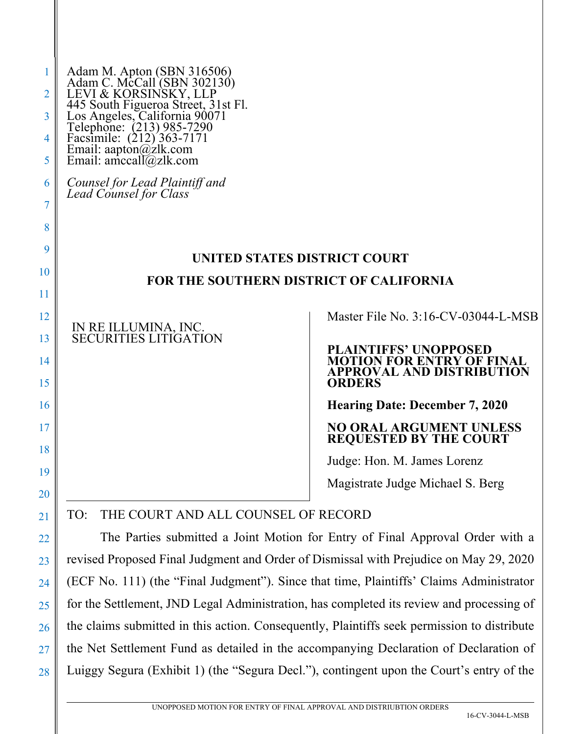| 1<br>2         | Adam M. Apton (SBN 316506)<br>Adam C. McCall (SBN 302130)<br>LEVI & KORSINSKY, LLP<br>445 South Figueroa Street, 31st Fl.<br>Los Angeles, California 90071<br>Telephone: (213) 985-7290<br>Facsimile: (212) 363-7171<br>Email: aapton@zlk.com<br>Email |                                                                                                                       |
|----------------|--------------------------------------------------------------------------------------------------------------------------------------------------------------------------------------------------------------------------------------------------------|-----------------------------------------------------------------------------------------------------------------------|
| 3              |                                                                                                                                                                                                                                                        |                                                                                                                       |
| 4              |                                                                                                                                                                                                                                                        |                                                                                                                       |
| 5              |                                                                                                                                                                                                                                                        |                                                                                                                       |
| 6<br>7         | Counsel for Lead Plaintiff and<br>Lead Counsel for Class                                                                                                                                                                                               |                                                                                                                       |
| 8              |                                                                                                                                                                                                                                                        |                                                                                                                       |
| 9              | UNITED STATES DISTRICT COURT<br><b>FOR THE SOUTHERN DISTRICT OF CALIFORNIA</b>                                                                                                                                                                         |                                                                                                                       |
| 10             |                                                                                                                                                                                                                                                        |                                                                                                                       |
| 11             |                                                                                                                                                                                                                                                        |                                                                                                                       |
| 12             | IN RE ILLUMINA, INC.<br>SECURITIES LITIGATION                                                                                                                                                                                                          | Master File No. 3:16-CV-03044-L-MSB                                                                                   |
| 13<br>14<br>15 |                                                                                                                                                                                                                                                        | <b>PLAINTIFFS' UNOPPOSED</b><br><b>MOTION FOR ENTRY OF FINAL</b><br><b>APPROVAL AND DISTRIBUTION</b><br><b>ORDERS</b> |
| 16             |                                                                                                                                                                                                                                                        | <b>Hearing Date: December 7, 2020</b>                                                                                 |
| 17<br>18       |                                                                                                                                                                                                                                                        | NO ORAL ARGUMENT UNLESS<br><b>REQUESTED BY THE COURT</b>                                                              |
| 19             |                                                                                                                                                                                                                                                        | Judge: Hon. M. James Lorenz                                                                                           |
| 20             |                                                                                                                                                                                                                                                        | Magistrate Judge Michael S. Berg                                                                                      |
| 21             | TO:<br>THE COURT AND ALL COUNSEL OF RECORD                                                                                                                                                                                                             |                                                                                                                       |
| 22             | The Parties submitted a Joint Motion for Entry of Final Approval Order with a                                                                                                                                                                          |                                                                                                                       |
| 23             | revised Proposed Final Judgment and Order of Dismissal with Prejudice on May 29, 2020                                                                                                                                                                  |                                                                                                                       |
| 24             | (ECF No. 111) (the "Final Judgment"). Since that time, Plaintiffs' Claims Administrator                                                                                                                                                                |                                                                                                                       |
| 25             | for the Settlement, JND Legal Administration, has completed its review and processing of                                                                                                                                                               |                                                                                                                       |
| 26             | the claims submitted in this action. Consequently, Plaintiffs seek permission to distribute                                                                                                                                                            |                                                                                                                       |
| 27             | the Net Settlement Fund as detailed in the accompanying Declaration of Declaration of                                                                                                                                                                  |                                                                                                                       |

Luiggy Segura (Exhibit 1) (the "Segura Decl."), contingent upon the Court's entry of the

28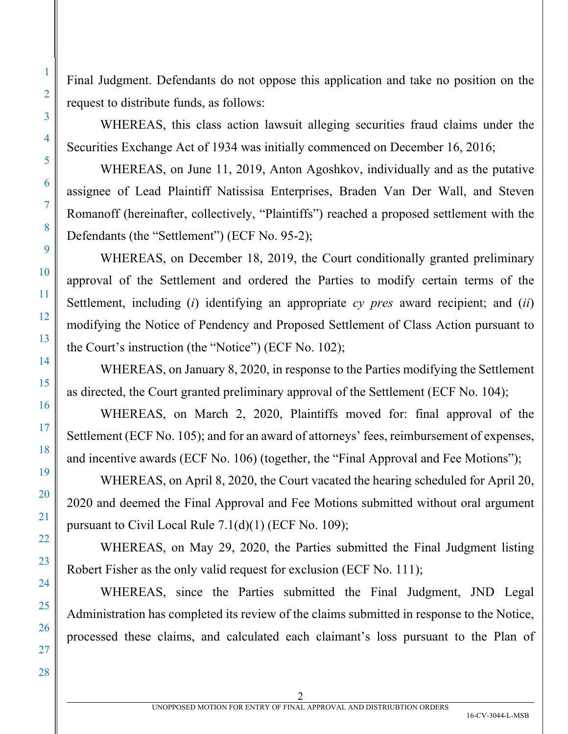Final Judgment. Defendants do not oppose this application and take no position on the request to distribute funds, as follows:

WHEREAS, this class action lawsuit alleging securities fraud claims under the Securities Exchange Act of 1934 was initially commenced on December 16, 2016;

WHEREAS, on June 11, 2019, Anton Agoshkov, individually and as the putative assignee of Lead Plaintiff Natissisa Enterprises, Braden Van Der Wall, and Steven Romanoff (hereinafter, collectively, "Plaintiffs") reached a proposed settlement with the Defendants (the "Settlement") (ECF No. 95-2);

WHEREAS, on December 18, 2019, the Court conditionally granted preliminary approval of the Settlement and ordered the Parties to modify certain terms of the Settlement, including (*i*) identifying an appropriate *cy pres* award recipient; and (*ii*) modifying the Notice of Pendency and Proposed Settlement of Class Action pursuant to the Court's instruction (the "Notice") (ECF No. 102);

WHEREAS, on January 8, 2020, in response to the Parties modifying the Settlement as directed, the Court granted preliminary approval of the Settlement (ECF No. 104);

WHEREAS, on March 2, 2020, Plaintiffs moved for: final approval of the Settlement (ECF No. 105); and for an award of attorneys' fees, reimbursement of expenses, and incentive awards (ECF No. 106) (together, the "Final Approval and Fee Motions");

WHEREAS, on April 8, 2020, the Court vacated the hearing scheduled for April 20, 2020 and deemed the Final Approval and Fee Motions submitted without oral argument pursuant to Civil Local Rule 7.1(d)(1) (ECF No. 109);

WHEREAS, on May 29, 2020, the Parties submitted the Final Judgment listing Robert Fisher as the only valid request for exclusion (ECF No. 111);

WHEREAS, since the Parties submitted the Final Judgment, JND Legal Administration has completed its review of the claims submitted in response to the Notice, processed these claims, and calculated each claimant's loss pursuant to the Plan of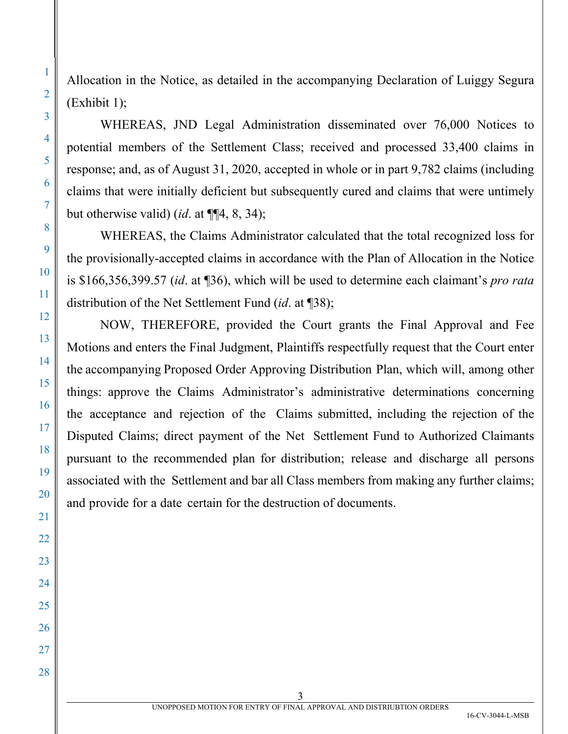Allocation in the Notice, as detailed in the accompanying Declaration of Luiggy Segura (Exhibit 1);

WHEREAS, JND Legal Administration disseminated over 76,000 Notices to potential members of the Settlement Class; received and processed 33,400 claims in response; and, as of August 31, 2020, accepted in whole or in part 9,782 claims (including claims that were initially deficient but subsequently cured and claims that were untimely but otherwise valid) (*id*. at ¶¶4, 8, 34);

WHEREAS, the Claims Administrator calculated that the total recognized loss for the provisionally-accepted claims in accordance with the Plan of Allocation in the Notice is \$166,356,399.57 (*id*. at ¶36), which will be used to determine each claimant's *pro rata* distribution of the Net Settlement Fund (*id*. at ¶38);

NOW, THEREFORE, provided the Court grants the Final Approval and Fee Motions and enters the Final Judgment, Plaintiffs respectfully request that the Court enter the accompanying Proposed Order Approving Distribution Plan, which will, among other things: approve the Claims Administrator's administrative determinations concerning the acceptance and rejection of the Claims submitted, including the rejection of the Disputed Claims; direct payment of the Net Settlement Fund to Authorized Claimants pursuant to the recommended plan for distribution; release and discharge all persons associated with the Settlement and bar all Class members from making any further claims; and provide for a date certain for the destruction of documents.

2